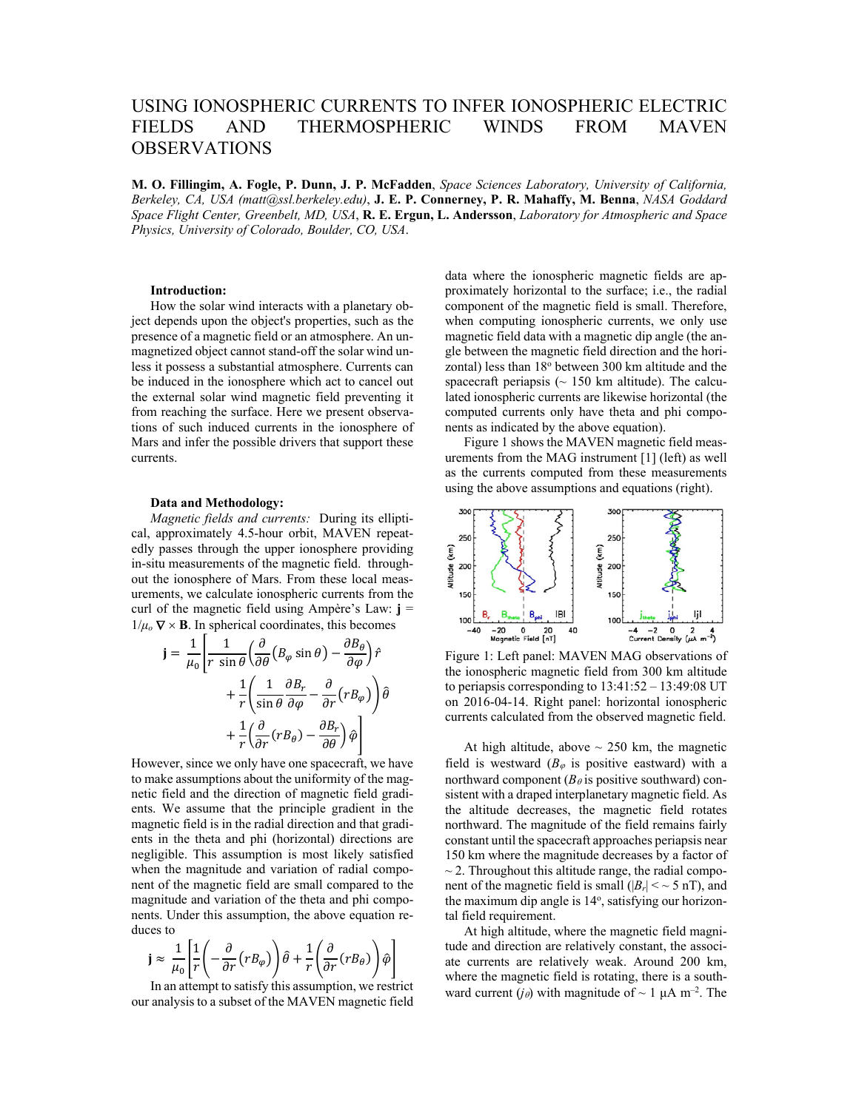# USING IONOSPHERIC CURRENTS TO INFER IONOSPHERIC ELECTRIC FIELDS AND THERMOSPHERIC WINDS FROM MAVEN OBSERVATIONS

**M. O. Fillingim, A. Fogle, P. Dunn, J. P. McFadden**, *Space Sciences Laboratory, University of California, Berkeley, CA, USA (matt@ssl.berkeley.edu)*, **J. E. P. Connerney, P. R. Mahaffy, M. Benna**, *NASA Goddard Space Flight Center, Greenbelt, MD, USA*, **R. E. Ergun, L. Andersson**, *Laboratory for Atmospheric and Space Physics, University of Colorado, Boulder, CO, USA*.

## **Introduction:**

How the solar wind interacts with a planetary object depends upon the object's properties, such as the presence of a magnetic field or an atmosphere. An unmagnetized object cannot stand-off the solar wind unless it possess a substantial atmosphere. Currents can be induced in the ionosphere which act to cancel out the external solar wind magnetic field preventing it from reaching the surface. Here we present observations of such induced currents in the ionosphere of Mars and infer the possible drivers that support these currents.

## **Data and Methodology:**

*Magnetic fields and currents:* During its elliptical, approximately 4.5-hour orbit, MAVEN repeatedly passes through the upper ionosphere providing in-situ measurements of the magnetic field. throughout the ionosphere of Mars. From these local measurements, we calculate ionospheric currents from the curl of the magnetic field using Ampère's Law: **j** =  $1/\mu_o \nabla \times \mathbf{B}$ . In spherical coordinates, this becomes

$$
\mathbf{j} = \frac{1}{\mu_0} \left[ \frac{1}{r \sin \theta} \left( \frac{\partial}{\partial \theta} \left( B_{\varphi} \sin \theta \right) - \frac{\partial B_{\theta}}{\partial \varphi} \right) \hat{r} + \frac{1}{r} \left( \frac{1}{\sin \theta} \frac{\partial B_{r}}{\partial \varphi} - \frac{\partial}{\partial r} \left( r B_{\varphi} \right) \right) \hat{\theta} + \frac{1}{r} \left( \frac{\partial}{\partial r} \left( r B_{\theta} \right) - \frac{\partial B_{r}}{\partial \theta} \right) \hat{\varphi} \right]
$$

However, since we only have one spacecraft, we have to make assumptions about the uniformity of the magnetic field and the direction of magnetic field gradients. We assume that the principle gradient in the magnetic field is in the radial direction and that gradients in the theta and phi (horizontal) directions are negligible. This assumption is most likely satisfied when the magnitude and variation of radial component of the magnetic field are small compared to the magnitude and variation of the theta and phi components. Under this assumption, the above equation reduces to

$$
\mathbf{j} \approx \frac{1}{\mu_0} \left[ \frac{1}{r} \left( -\frac{\partial}{\partial r} (r B_{\varphi}) \right) \hat{\theta} + \frac{1}{r} \left( \frac{\partial}{\partial r} (r B_{\theta}) \right) \hat{\varphi} \right]
$$

In an attempt to satisfy this assumption, we restrict our analysis to a subset of the MAVEN magnetic field

data where the ionospheric magnetic fields are approximately horizontal to the surface; i.e., the radial component of the magnetic field is small. Therefore, when computing ionospheric currents, we only use magnetic field data with a magnetic dip angle (the angle between the magnetic field direction and the horizontal) less than 18° between 300 km altitude and the spacecraft periapsis ( $\sim$  150 km altitude). The calculated ionospheric currents are likewise horizontal (the computed currents only have theta and phi components as indicated by the above equation).

Figure 1 shows the MAVEN magnetic field measurements from the MAG instrument [1] (left) as well as the currents computed from these measurements using the above assumptions and equations (right).



Figure 1: Left panel: MAVEN MAG observations of the ionospheric magnetic field from 300 km altitude to periapsis corresponding to 13:41:52 – 13:49:08 UT on 2016-04-14. Right panel: horizontal ionospheric currents calculated from the observed magnetic field.

At high altitude, above  $\sim$  250 km, the magnetic field is westward ( $B_{\varphi}$  is positive eastward) with a northward component ( $B_\theta$  is positive southward) consistent with a draped interplanetary magnetic field. As the altitude decreases, the magnetic field rotates northward. The magnitude of the field remains fairly constant until the spacecraft approaches periapsis near 150 km where the magnitude decreases by a factor of  $\sim$  2. Throughout this altitude range, the radial component of the magnetic field is small ( $|B_r| < \sim 5$  nT), and the maximum dip angle is 14°, satisfying our horizontal field requirement.

At high altitude, where the magnetic field magnitude and direction are relatively constant, the associate currents are relatively weak. Around 200 km, where the magnetic field is rotating, there is a southward current (*j* $_{\theta}$ ) with magnitude of ~ 1  $\mu$ A m<sup>-2</sup>. The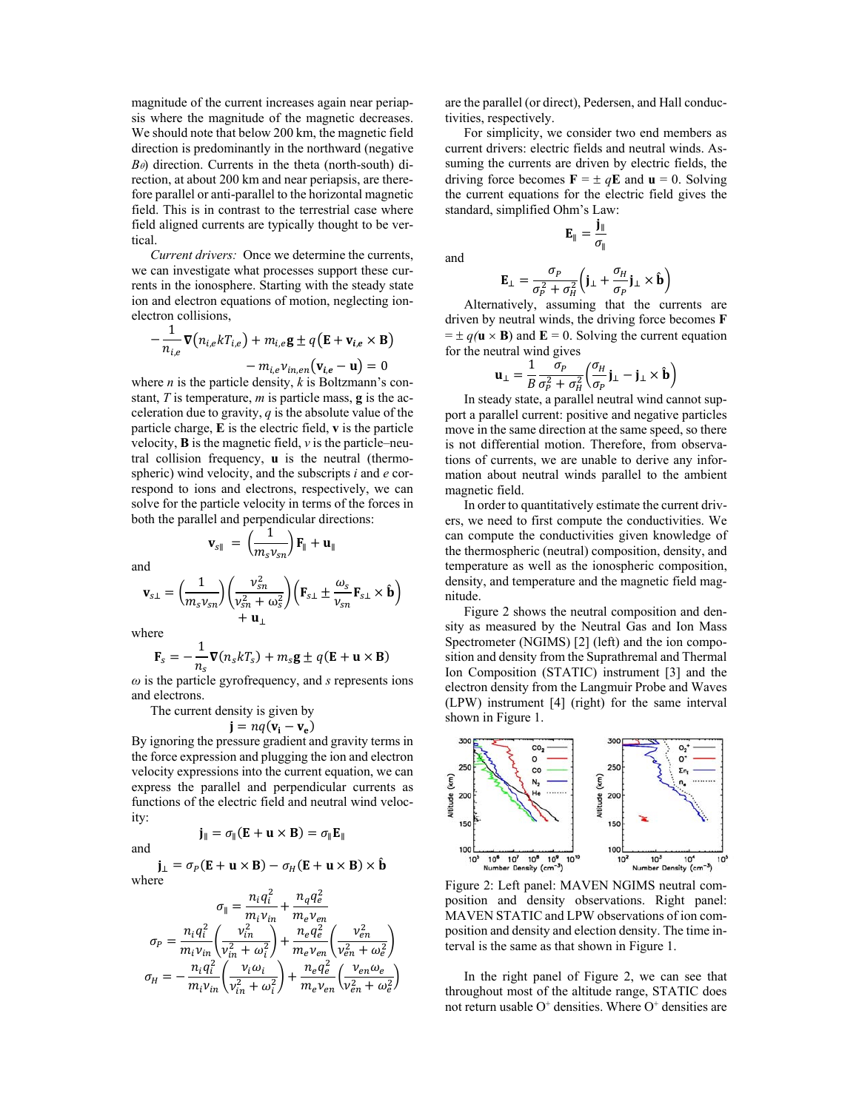magnitude of the current increases again near periapsis where the magnitude of the magnetic decreases. We should note that below 200 km, the magnetic field direction is predominantly in the northward (negative  $B_{\theta}$ ) direction. Currents in the theta (north-south) direction, at about 200 km and near periapsis, are therefore parallel or anti-parallel to the horizontal magnetic field. This is in contrast to the terrestrial case where field aligned currents are typically thought to be vertical.

*Current drivers:* Once we determine the currents, we can investigate what processes support these currents in the ionosphere. Starting with the steady state ion and electron equations of motion, neglecting ionelectron collisions,

$$
-\frac{1}{n_{i,e}}\nabla(n_{i,e}kT_{i,e}) + m_{i,e}\mathbf{g} \pm q(\mathbf{E} + \mathbf{v}_{i,e} \times \mathbf{B}) - m_{i,e}\mathbf{v}_{in,en}(\mathbf{v}_{i,e} - \mathbf{u}) = 0
$$

where *n* is the particle density, *k* is Boltzmann's constant, *T* is temperature, *m* is particle mass, **g** is the acceleration due to gravity, *q* is the absolute value of the particle charge, **E** is the electric field, **v** is the particle velocity, **B** is the magnetic field, *ν* is the particle–neutral collision frequency, **u** is the neutral (thermospheric) wind velocity, and the subscripts *i* and *e* correspond to ions and electrons, respectively, we can solve for the particle velocity in terms of the forces in both the parallel and perpendicular directions:

 $\mathbf{v}_{s\parallel} = \left(\frac{1}{m_s v_{sn}}\right) \mathbf{F}_{\parallel} + \mathbf{u}_{\parallel}$ 

$$
\mathbf{v}_{s\perp} = \left(\frac{1}{m_s v_{sn}}\right) \left(\frac{v_{sn}^2}{v_{sn}^2 + \omega_s^2}\right) \left(\mathbf{F}_{s\perp} \pm \frac{\omega_s}{v_{sn}} \mathbf{F}_{s\perp} \times \hat{\mathbf{b}}\right) + \mathbf{u}_{\perp}
$$

where

and

$$
\mathbf{F}_s = -\frac{1}{n_s} \mathbf{\nabla}(n_s k T_s) + m_s \mathbf{g} \pm q(\mathbf{E} + \mathbf{u} \times \mathbf{B})
$$

*ω* is the particle gyrofrequency, and *s* represents ions and electrons.

The current density is given by

$$
\mathbf{j} = nq(\mathbf{v_i} - \mathbf{v_e})
$$

By ignoring the pressure gradient and gravity terms in the force expression and plugging the ion and electron velocity expressions into the current equation, we can express the parallel and perpendicular currents as functions of the electric field and neutral wind velocity: ∥ൌ ߪ∥ሺ۳ܝൈ۰ሻ ൌ ߪ∥۳∥

and

$$
\mathbf{j}_{\parallel} = \sigma_{\parallel} (\mathbf{E} + \mathbf{u} \times \mathbf{B}) = \sigma_{\parallel} \mathbf{E}_{\parallel}
$$

$$
\mathbf{j}_{\perp} = \sigma_P(\mathbf{E} + \mathbf{u} \times \mathbf{B}) - \sigma_H(\mathbf{E} + \mathbf{u} \times \mathbf{B}) \times \mathbf{\hat{b}}
$$
  
where

$$
\sigma_{\parallel} = \frac{n_i q_i^2}{m_i v_{in}} + \frac{n_q q_e^2}{m_e v_{en}}
$$
\n
$$
\sigma_P = \frac{n_i q_i^2}{m_i v_{in}} \left(\frac{v_{in}^2}{v_{in}^2 + \omega_i^2}\right) + \frac{n_e q_e^2}{m_e v_{en}} \left(\frac{v_{en}^2}{v_{en}^2 + \omega_e^2}\right)
$$
\n
$$
\sigma_H = -\frac{n_i q_i^2}{m_i v_{in}} \left(\frac{v_i \omega_i}{v_{in}^2 + \omega_i^2}\right) + \frac{n_e q_e^2}{m_e v_{en}} \left(\frac{v_{en} \omega_e}{v_{en}^2 + \omega_e^2}\right)
$$

are the parallel (or direct), Pedersen, and Hall conductivities, respectively.

For simplicity, we consider two end members as current drivers: electric fields and neutral winds. Assuming the currents are driven by electric fields, the driving force becomes  $\mathbf{F} = \pm q\mathbf{E}$  and  $\mathbf{u} = 0$ . Solving the current equations for the electric field gives the standard, simplified Ohm's Law:

and

$$
\mathbf{E}_{\perp} = \frac{\sigma_P}{\sigma_P^2 + \sigma_H^2} \Big( \mathbf{j}_{\perp} + \frac{\sigma_H}{\sigma_P} \mathbf{j}_{\perp} \times \mathbf{\hat{b}} \Big)
$$

 $\mathbf{E}_{\parallel} = \frac{\mathbf{j}_{\parallel}}{\sigma_{\parallel}}$ 

Alternatively, assuming that the currents are driven by neutral winds, the driving force becomes **F**  $= \pm q(\mathbf{u} \times \mathbf{B})$  and  $\mathbf{E} = 0$ . Solving the current equation for the neutral wind gives

$$
\mathbf{u}_{\perp} = \frac{1}{B} \frac{\sigma_P}{\sigma_P^2 + \sigma_H^2} \left( \frac{\sigma_H}{\sigma_P} \mathbf{j}_{\perp} - \mathbf{j}_{\perp} \times \mathbf{\hat{b}} \right)
$$

In steady state, a parallel neutral wind cannot support a parallel current: positive and negative particles move in the same direction at the same speed, so there is not differential motion. Therefore, from observations of currents, we are unable to derive any information about neutral winds parallel to the ambient magnetic field.

In order to quantitatively estimate the current drivers, we need to first compute the conductivities. We can compute the conductivities given knowledge of the thermospheric (neutral) composition, density, and temperature as well as the ionospheric composition, density, and temperature and the magnetic field magnitude.

Figure 2 shows the neutral composition and density as measured by the Neutral Gas and Ion Mass Spectrometer (NGIMS) [2] (left) and the ion composition and density from the Suprathremal and Thermal Ion Composition (STATIC) instrument [3] and the electron density from the Langmuir Probe and Waves (LPW) instrument [4] (right) for the same interval shown in Figure 1.



Figure 2: Left panel: MAVEN NGIMS neutral composition and density observations. Right panel: MAVEN STATIC and LPW observations of ion composition and density and election density. The time interval is the same as that shown in Figure 1.

In the right panel of Figure 2, we can see that throughout most of the altitude range, STATIC does not return usable  $O^+$  densities. Where  $O^+$  densities are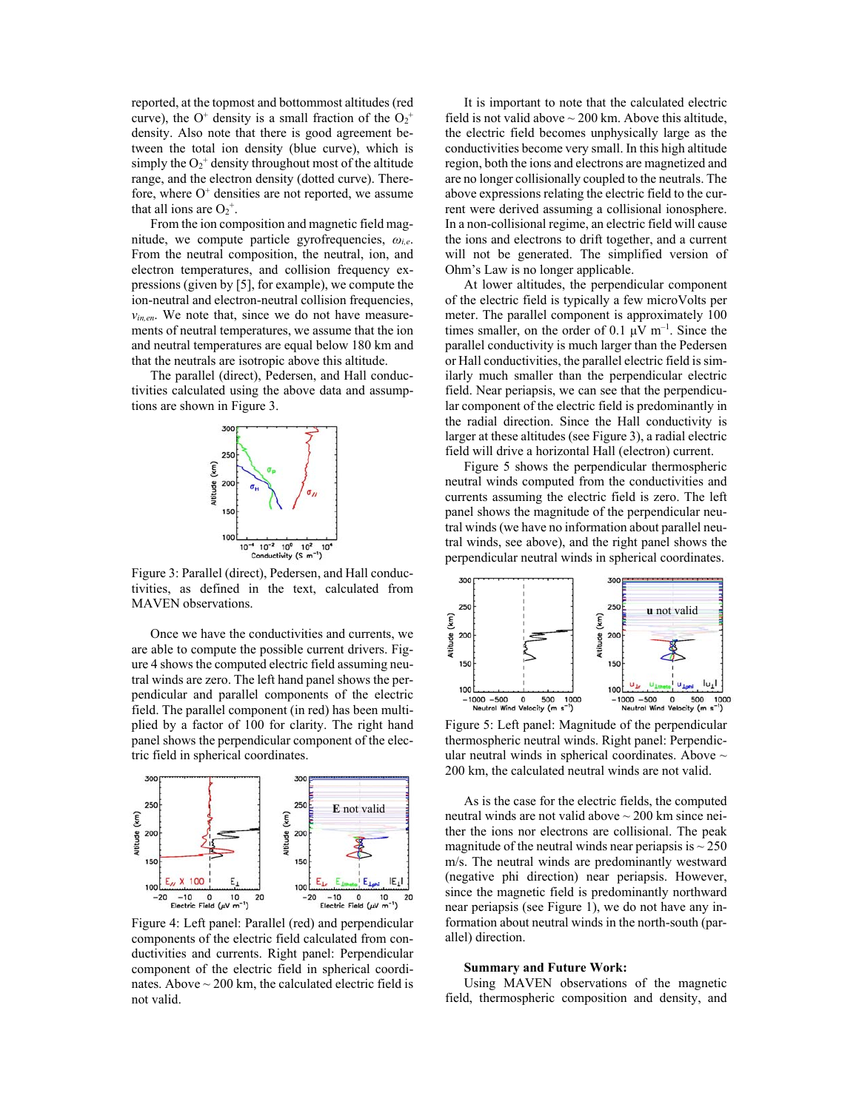reported, at the topmost and bottommost altitudes (red curve), the O<sup>+</sup> density is a small fraction of the  $O_2^+$ density. Also note that there is good agreement between the total ion density (blue curve), which is simply the  $O_2^+$  density throughout most of the altitude range, and the electron density (dotted curve). Therefore, where  $O<sup>+</sup>$  densities are not reported, we assume that all ions are  $O_2^+$ .

From the ion composition and magnetic field magnitude, we compute particle gyrofrequencies, *ωi,e*. From the neutral composition, the neutral, ion, and electron temperatures, and collision frequency expressions (given by [5], for example), we compute the ion-neutral and electron-neutral collision frequencies, *νin,en*. We note that, since we do not have measurements of neutral temperatures, we assume that the ion and neutral temperatures are equal below 180 km and that the neutrals are isotropic above this altitude.

The parallel (direct), Pedersen, and Hall conductivities calculated using the above data and assumptions are shown in Figure 3.



Figure 3: Parallel (direct), Pedersen, and Hall conductivities, as defined in the text, calculated from MAVEN observations.

Once we have the conductivities and currents, we are able to compute the possible current drivers. Figure 4 shows the computed electric field assuming neutral winds are zero. The left hand panel shows the perpendicular and parallel components of the electric field. The parallel component (in red) has been multiplied by a factor of 100 for clarity. The right hand panel shows the perpendicular component of the electric field in spherical coordinates.



Figure 4: Left panel: Parallel (red) and perpendicular components of the electric field calculated from conductivities and currents. Right panel: Perpendicular component of the electric field in spherical coordinates. Above  $\sim$  200 km, the calculated electric field is not valid.

It is important to note that the calculated electric field is not valid above  $\sim$  200 km. Above this altitude, the electric field becomes unphysically large as the conductivities become very small. In this high altitude region, both the ions and electrons are magnetized and are no longer collisionally coupled to the neutrals. The above expressions relating the electric field to the current were derived assuming a collisional ionosphere. In a non-collisional regime, an electric field will cause the ions and electrons to drift together, and a current will not be generated. The simplified version of Ohm's Law is no longer applicable.

At lower altitudes, the perpendicular component of the electric field is typically a few microVolts per meter. The parallel component is approximately 100 times smaller, on the order of 0.1  $\mu$ V m<sup>-1</sup>. Since the parallel conductivity is much larger than the Pedersen or Hall conductivities, the parallel electric field is similarly much smaller than the perpendicular electric field. Near periapsis, we can see that the perpendicular component of the electric field is predominantly in the radial direction. Since the Hall conductivity is larger at these altitudes (see Figure 3), a radial electric field will drive a horizontal Hall (electron) current.

Figure 5 shows the perpendicular thermospheric neutral winds computed from the conductivities and currents assuming the electric field is zero. The left panel shows the magnitude of the perpendicular neutral winds (we have no information about parallel neutral winds, see above), and the right panel shows the perpendicular neutral winds in spherical coordinates.



Figure 5: Left panel: Magnitude of the perpendicular thermospheric neutral winds. Right panel: Perpendicular neutral winds in spherical coordinates. Above  $\sim$ 200 km, the calculated neutral winds are not valid.

As is the case for the electric fields, the computed neutral winds are not valid above  $\sim$  200 km since neither the ions nor electrons are collisional. The peak magnitude of the neutral winds near periapsis is  $\sim$  250 m/s. The neutral winds are predominantly westward (negative phi direction) near periapsis. However, since the magnetic field is predominantly northward near periapsis (see Figure 1), we do not have any information about neutral winds in the north-south (parallel) direction.

### **Summary and Future Work:**

Using MAVEN observations of the magnetic field, thermospheric composition and density, and